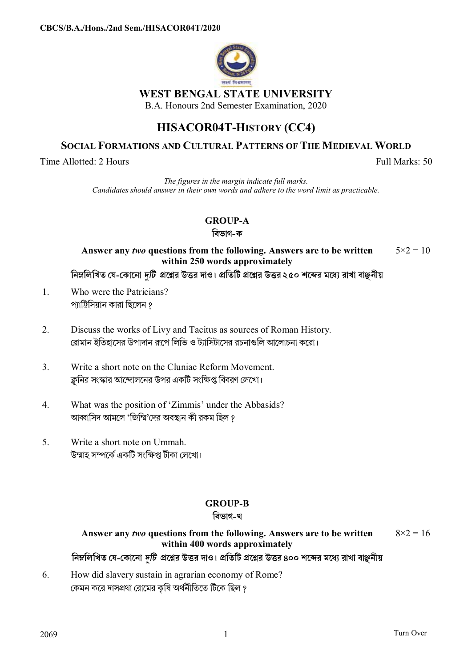

# **WEST BENGAL STATE UNIVERSITY**

B.A. Honours 2nd Semester Examination, 2020

# **HISACOR04T-HISTORY (CC4)**

# **SOCIAL FORMATIONS AND CULTURAL PATTERNS OF THE MEDIEVAL WORLD**

Time Allotted: 2 Hours Full Marks: 50

*The figures in the margin indicate full marks. Candidates should answer in their own words and adhere to the word limit as practicable.* 

# **GROUP-A**

#### **িবভাগ-ক**

#### **Answer any** *two* **questions from the following. Answers are to be written within 250 words approximately**   $5 \times 2 = 10$

নিম্নলিখিত যে-কোনো *দটি প্র*শ্লের উত্তর দাও। প্রতিটি প্রশ্নের উত্তর ২৫০ শব্দের মধ্যে রাখা বাঞ্জনীয়

- 1. Who were the Patricians? প্যাট্রিসিয়ান কারা ছিলেন ?
- 2. Discuss the works of Livy and Tacitus as sources of Roman History. রোমান ইতিহাসের উপাদান রূপে লিভি ও ট্যাসিটাসের রচনাগুলি আলোচনা করো।
- 3. Write a short note on the Cluniac Reform Movement. ক্লনির সংস্কার আন্দোলনের উপর একটি সংক্ষিপ্ত বিবরণ লেখো।
- 4. What was the position of 'Zimmis' under the Abbasids? আব্বাসিদ আমলে 'জিম্মি'দের অবস্থান কী রকম ছিল ?
- 5. Write a short note on Ummah. উম্মাহ সম্পৰ্কে একটি সংক্ষিপ্ত টীকা লেখো।

# **GROUP-B**

### **িবভাগ-খ**

#### **Answer any** *two* **questions from the following. Answers are to be written within 400 words approximately**   $8 \times 2 = 16$

নিম্নলিখিত যে-কোনো *দটি প্র*শ্লের উত্তর দাও। প্রতিটি প্রশ্নের উত্তর ৪০০ শব্দের মধ্যে রাখা বাঞ্জনীয়

6. How did slavery sustain in agrarian economy of Rome? কেমন করে দাসপ্রথা রোমের কৃষি অর্থনীতিতে টিকে ছিল ?